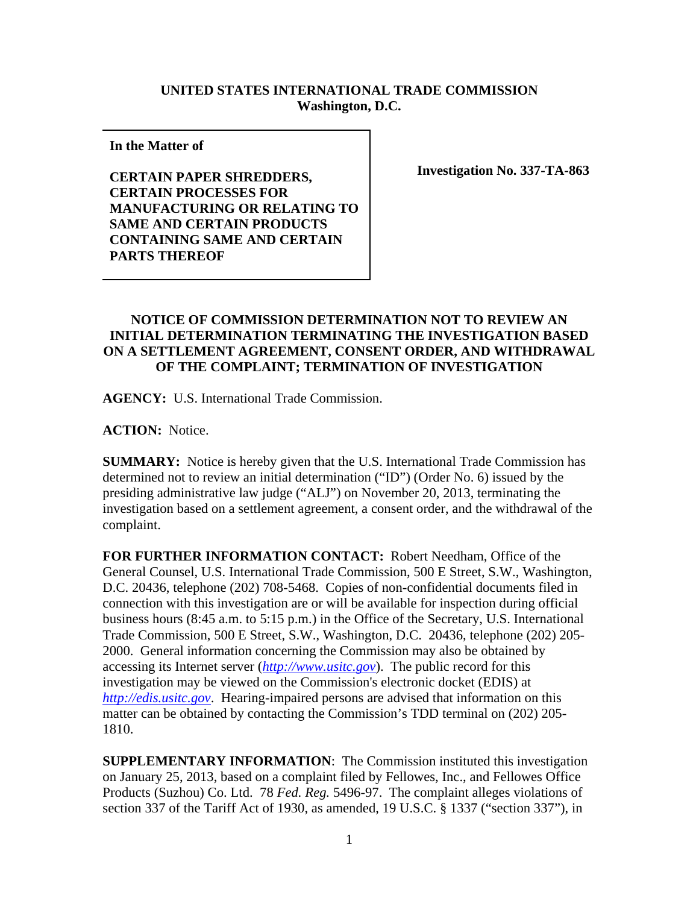## **UNITED STATES INTERNATIONAL TRADE COMMISSION Washington, D.C.**

**In the Matter of** 

**CERTAIN PAPER SHREDDERS, CERTAIN PROCESSES FOR MANUFACTURING OR RELATING TO SAME AND CERTAIN PRODUCTS CONTAINING SAME AND CERTAIN PARTS THEREOF** 

**Investigation No. 337-TA-863**

## **NOTICE OF COMMISSION DETERMINATION NOT TO REVIEW AN INITIAL DETERMINATION TERMINATING THE INVESTIGATION BASED ON A SETTLEMENT AGREEMENT, CONSENT ORDER, AND WITHDRAWAL OF THE COMPLAINT; TERMINATION OF INVESTIGATION**

**AGENCY:** U.S. International Trade Commission.

**ACTION:** Notice.

**SUMMARY:** Notice is hereby given that the U.S. International Trade Commission has determined not to review an initial determination ("ID") (Order No. 6) issued by the presiding administrative law judge ("ALJ") on November 20, 2013, terminating the investigation based on a settlement agreement, a consent order, and the withdrawal of the complaint.

**FOR FURTHER INFORMATION CONTACT:** Robert Needham, Office of the General Counsel, U.S. International Trade Commission, 500 E Street, S.W., Washington, D.C. 20436, telephone (202) 708-5468. Copies of non-confidential documents filed in connection with this investigation are or will be available for inspection during official business hours (8:45 a.m. to 5:15 p.m.) in the Office of the Secretary, U.S. International Trade Commission, 500 E Street, S.W., Washington, D.C. 20436, telephone (202) 205- 2000. General information concerning the Commission may also be obtained by accessing its Internet server (*http://www.usitc.gov*). The public record for this investigation may be viewed on the Commission's electronic docket (EDIS) at *http://edis.usitc.gov*. Hearing-impaired persons are advised that information on this matter can be obtained by contacting the Commission's TDD terminal on (202) 205- 1810.

**SUPPLEMENTARY INFORMATION**: The Commission instituted this investigation on January 25, 2013, based on a complaint filed by Fellowes, Inc., and Fellowes Office Products (Suzhou) Co. Ltd. 78 *Fed. Reg.* 5496-97. The complaint alleges violations of section 337 of the Tariff Act of 1930, as amended, 19 U.S.C. § 1337 ("section 337"), in